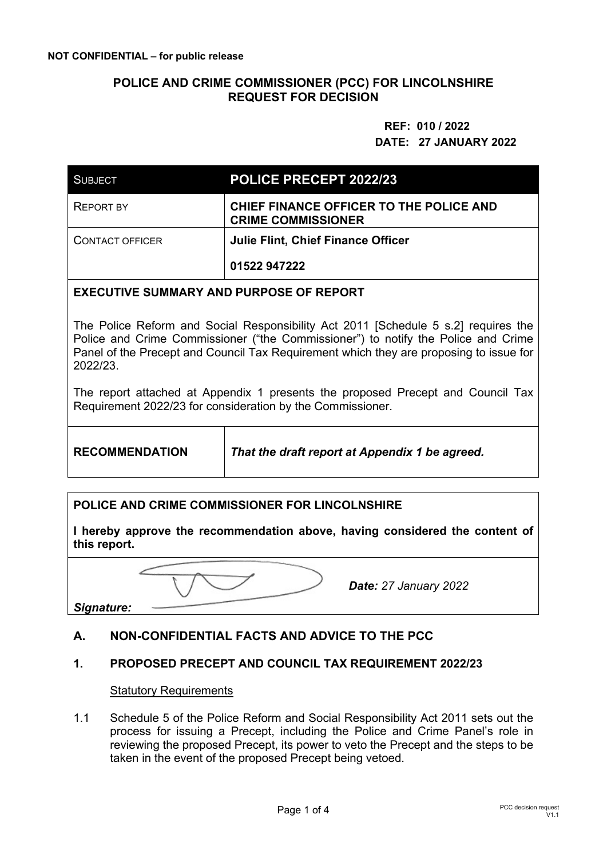## **POLICE AND CRIME COMMISSIONER (PCC) FOR LINCOLNSHIRE REQUEST FOR DECISION**

# **REF: 010 / 2022 DATE: 27 JANUARY 2022**

| <b>SUBJECT</b>                 | POLICE PRECEPT 2022/23                                               |  |  |  |
|--------------------------------|----------------------------------------------------------------------|--|--|--|
| <b>REPORT BY</b>               | CHIEF FINANCE OFFICER TO THE POLICE AND<br><b>CRIME COMMISSIONER</b> |  |  |  |
| <b>CONTACT OFFICER</b>         | <b>Julie Flint, Chief Finance Officer</b>                            |  |  |  |
|                                | 01522 947222                                                         |  |  |  |
| AULULLAN LUB BUBBAAF AF BEBABT |                                                                      |  |  |  |

## **EXECUTIVE SUMMARY AND PURPOSE OF REPORT**

The Police Reform and Social Responsibility Act 2011 [Schedule 5 s.2] requires the Police and Crime Commissioner ("the Commissioner") to notify the Police and Crime Panel of the Precept and Council Tax Requirement which they are proposing to issue for 2022/23.

The report attached at Appendix 1 presents the proposed Precept and Council Tax Requirement 2022/23 for consideration by the Commissioner.

**RECOMMENDATION** *That the draft report at Appendix 1 be agreed.* 

#### **POLICE AND CRIME COMMISSIONER FOR LINCOLNSHIRE**

**I hereby approve the recommendation above, having considered the content of this report.** 

*Date: 27 January 2022*

*Signature:* 

## **A. NON-CONFIDENTIAL FACTS AND ADVICE TO THE PCC**

## **1. PROPOSED PRECEPT AND COUNCIL TAX REQUIREMENT 2022/23**

#### Statutory Requirements

1.1 Schedule 5 of the Police Reform and Social Responsibility Act 2011 sets out the process for issuing a Precept, including the Police and Crime Panel's role in reviewing the proposed Precept, its power to veto the Precept and the steps to be taken in the event of the proposed Precept being vetoed.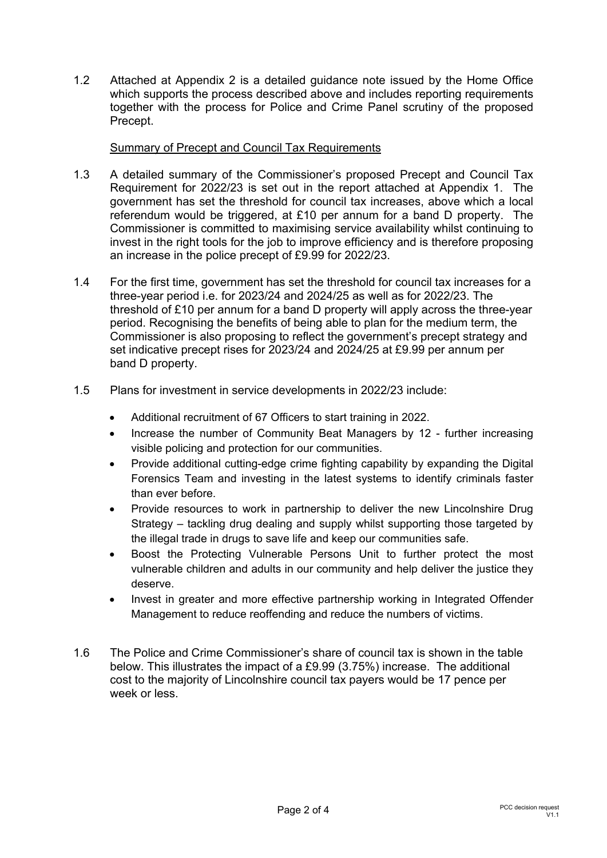1.2 Attached at Appendix 2 is a detailed guidance note issued by the Home Office which supports the process described above and includes reporting requirements together with the process for Police and Crime Panel scrutiny of the proposed Precept.

## Summary of Precept and Council Tax Requirements

- 1.3 A detailed summary of the Commissioner's proposed Precept and Council Tax Requirement for 2022/23 is set out in the report attached at Appendix 1. The government has set the threshold for council tax increases, above which a local referendum would be triggered, at £10 per annum for a band D property. The Commissioner is committed to maximising service availability whilst continuing to invest in the right tools for the job to improve efficiency and is therefore proposing an increase in the police precept of £9.99 for 2022/23.
- 1.4 For the first time, government has set the threshold for council tax increases for a three-year period i.e. for 2023/24 and 2024/25 as well as for 2022/23. The threshold of £10 per annum for a band D property will apply across the three-year period. Recognising the benefits of being able to plan for the medium term, the Commissioner is also proposing to reflect the government's precept strategy and set indicative precept rises for 2023/24 and 2024/25 at £9.99 per annum per band D property.
- 1.5 Plans for investment in service developments in 2022/23 include:
	- Additional recruitment of 67 Officers to start training in 2022.
	- Increase the number of Community Beat Managers by 12 further increasing visible policing and protection for our communities.
	- Provide additional cutting-edge crime fighting capability by expanding the Digital Forensics Team and investing in the latest systems to identify criminals faster than ever before.
	- Provide resources to work in partnership to deliver the new Lincolnshire Drug Strategy – tackling drug dealing and supply whilst supporting those targeted by the illegal trade in drugs to save life and keep our communities safe.
	- Boost the Protecting Vulnerable Persons Unit to further protect the most vulnerable children and adults in our community and help deliver the justice they deserve.
	- Invest in greater and more effective partnership working in Integrated Offender Management to reduce reoffending and reduce the numbers of victims.
- 1.6 The Police and Crime Commissioner's share of council tax is shown in the table below. This illustrates the impact of a £9.99 (3.75%) increase. The additional cost to the majority of Lincolnshire council tax payers would be 17 pence per week or less.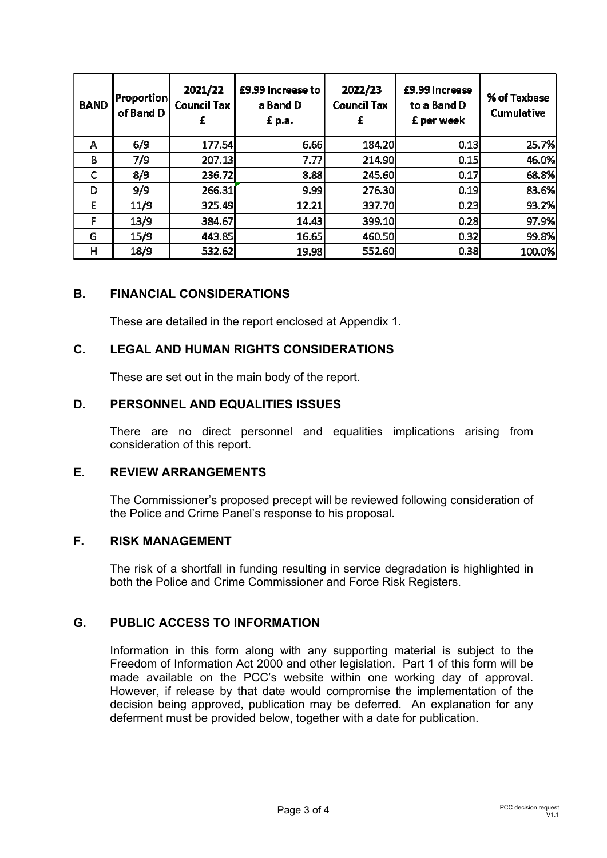| <b>BAND</b> | <b>Proportion</b><br>of Band D | 2021/22<br><b>Council Tax</b><br>£ | £9.99 Increase to<br>a Band D<br>£ p.a. | 2022/23<br><b>Council Tax</b><br>£ | £9.99 Increase<br>to a Band D<br>£ per week | % of Taxbase<br>Cumulative |
|-------------|--------------------------------|------------------------------------|-----------------------------------------|------------------------------------|---------------------------------------------|----------------------------|
| Α           | 6/9                            | 177.54                             | 6.66                                    | 184.20                             | 0.13                                        | 25.7%                      |
| В           | 7/9                            | 207.13                             | 7.77                                    | 214.90                             | 0.15                                        | 46.0%                      |
| C           | 8/9                            | 236.72                             | 8.88                                    | 245.60                             | 0.17                                        | 68.8%                      |
| D           | 9/9                            | 266.31                             | 9.99                                    | 276.30                             | 0.19                                        | 83.6%                      |
| E           | 11/9                           | 325.49                             | 12.21                                   | 337.70                             | 0.23                                        | 93.2%                      |
| F           | 13/9                           | 384.67                             | 14.43                                   | 399.10                             | 0.28                                        | 97.9%                      |
| G           | 15/9                           | 443.85                             | 16.65                                   | 460.50                             | 0.32                                        | 99.8%                      |
| н           | 18/9                           | 532.62                             | 19.98                                   | 552.60                             | 0.38                                        | 100.0%                     |

## **B. FINANCIAL CONSIDERATIONS**

These are detailed in the report enclosed at Appendix 1.

## **C. LEGAL AND HUMAN RIGHTS CONSIDERATIONS**

These are set out in the main body of the report.

#### **D. PERSONNEL AND EQUALITIES ISSUES**

There are no direct personnel and equalities implications arising from consideration of this report.

#### **E. REVIEW ARRANGEMENTS**

The Commissioner's proposed precept will be reviewed following consideration of the Police and Crime Panel's response to his proposal.

## **F. RISK MANAGEMENT**

The risk of a shortfall in funding resulting in service degradation is highlighted in both the Police and Crime Commissioner and Force Risk Registers.

## **G. PUBLIC ACCESS TO INFORMATION**

Information in this form along with any supporting material is subject to the Freedom of Information Act 2000 and other legislation. Part 1 of this form will be made available on the PCC's website within one working day of approval. However, if release by that date would compromise the implementation of the decision being approved, publication may be deferred. An explanation for any deferment must be provided below, together with a date for publication.